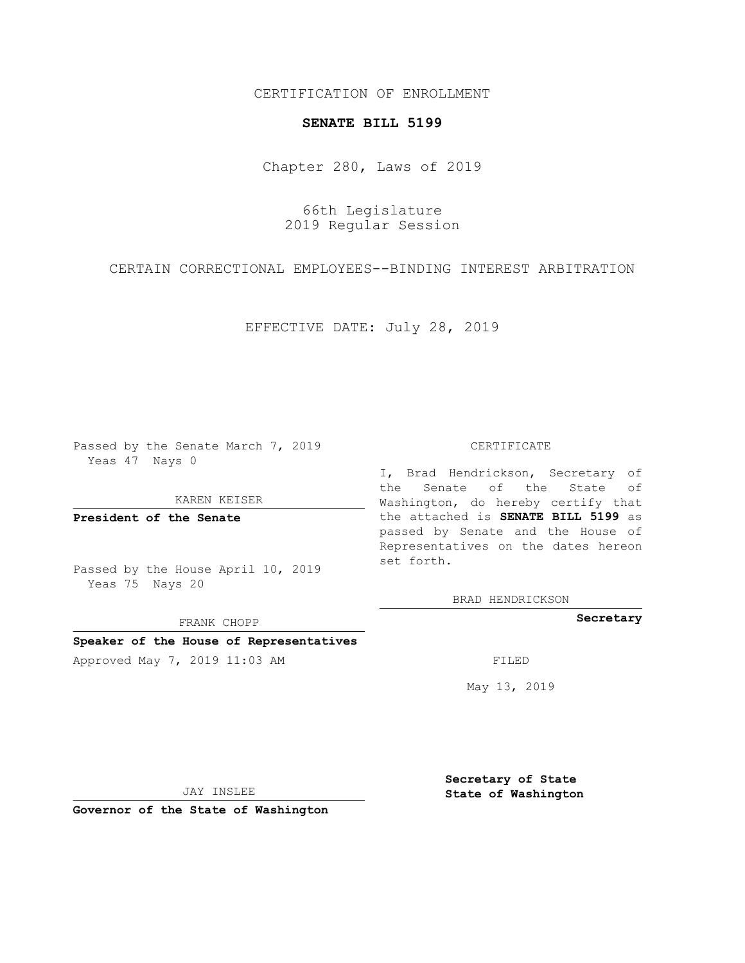CERTIFICATION OF ENROLLMENT

## **SENATE BILL 5199**

Chapter 280, Laws of 2019

66th Legislature 2019 Regular Session

CERTAIN CORRECTIONAL EMPLOYEES--BINDING INTEREST ARBITRATION

EFFECTIVE DATE: July 28, 2019

Passed by the Senate March 7, 2019 Yeas 47 Nays 0

KAREN KEISER

**President of the Senate**

Passed by the House April 10, 2019 Yeas 75 Nays 20

FRANK CHOPP

## **Speaker of the House of Representatives**

Approved May 7, 2019 11:03 AM FILED

## CERTIFICATE

I, Brad Hendrickson, Secretary of the Senate of the State of Washington, do hereby certify that the attached is **SENATE BILL 5199** as passed by Senate and the House of Representatives on the dates hereon set forth.

BRAD HENDRICKSON

**Secretary**

May 13, 2019

JAY INSLEE

**Governor of the State of Washington**

**Secretary of State State of Washington**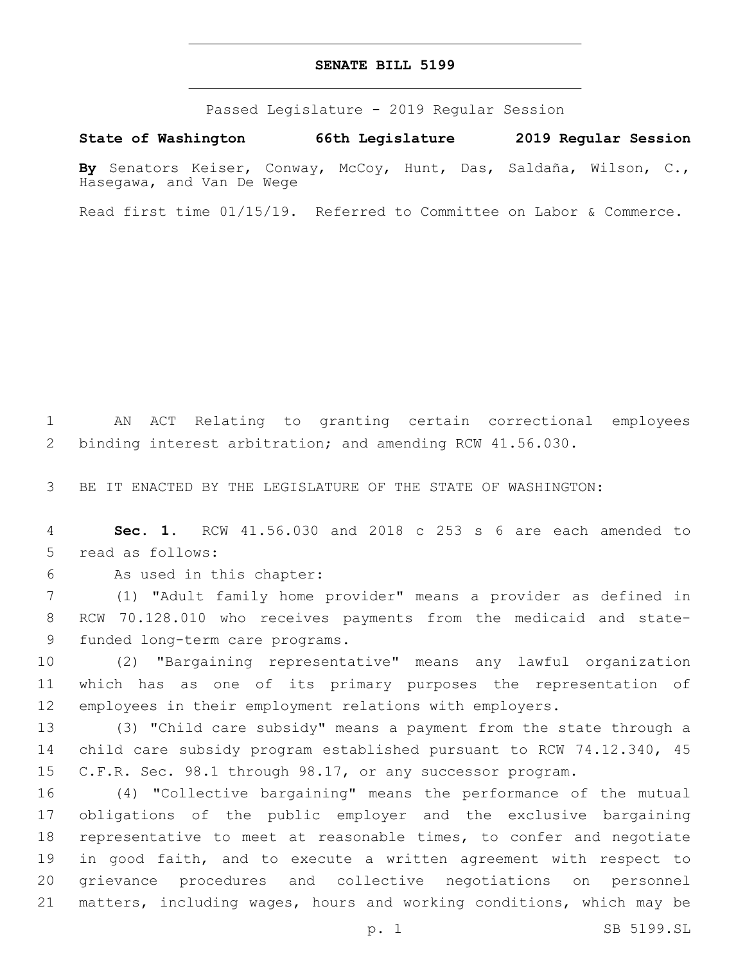## **SENATE BILL 5199**

Passed Legislature - 2019 Regular Session

**State of Washington 66th Legislature 2019 Regular Session**

**By** Senators Keiser, Conway, McCoy, Hunt, Das, Saldaña, Wilson, C., Hasegawa, and Van De Wege

Read first time 01/15/19. Referred to Committee on Labor & Commerce.

 AN ACT Relating to granting certain correctional employees binding interest arbitration; and amending RCW 41.56.030.

BE IT ENACTED BY THE LEGISLATURE OF THE STATE OF WASHINGTON:

 **Sec. 1.** RCW 41.56.030 and 2018 c 253 s 6 are each amended to 5 read as follows:

6 As used in this chapter:

 (1) "Adult family home provider" means a provider as defined in RCW 70.128.010 who receives payments from the medicaid and state-9 funded long-term care programs.

 (2) "Bargaining representative" means any lawful organization which has as one of its primary purposes the representation of employees in their employment relations with employers.

 (3) "Child care subsidy" means a payment from the state through a child care subsidy program established pursuant to RCW 74.12.340, 45 C.F.R. Sec. 98.1 through 98.17, or any successor program.

 (4) "Collective bargaining" means the performance of the mutual obligations of the public employer and the exclusive bargaining representative to meet at reasonable times, to confer and negotiate in good faith, and to execute a written agreement with respect to grievance procedures and collective negotiations on personnel matters, including wages, hours and working conditions, which may be

p. 1 SB 5199.SL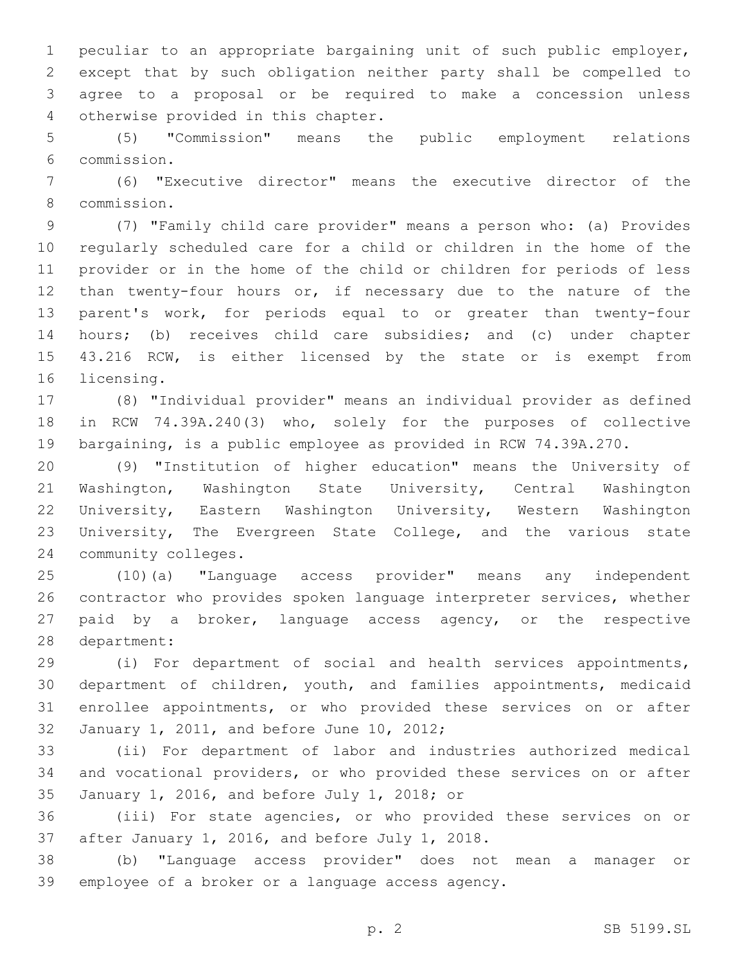peculiar to an appropriate bargaining unit of such public employer, except that by such obligation neither party shall be compelled to agree to a proposal or be required to make a concession unless 4 otherwise provided in this chapter.

 (5) "Commission" means the public employment relations commission.6

 (6) "Executive director" means the executive director of the commission.8

 (7) "Family child care provider" means a person who: (a) Provides regularly scheduled care for a child or children in the home of the provider or in the home of the child or children for periods of less than twenty-four hours or, if necessary due to the nature of the parent's work, for periods equal to or greater than twenty-four hours; (b) receives child care subsidies; and (c) under chapter 43.216 RCW, is either licensed by the state or is exempt from 16 licensing.

 (8) "Individual provider" means an individual provider as defined in RCW 74.39A.240(3) who, solely for the purposes of collective bargaining, is a public employee as provided in RCW 74.39A.270.

 (9) "Institution of higher education" means the University of Washington, Washington State University, Central Washington University, Eastern Washington University, Western Washington University, The Evergreen State College, and the various state 24 community colleges.

 (10)(a) "Language access provider" means any independent contractor who provides spoken language interpreter services, whether paid by a broker, language access agency, or the respective 28 department:

 (i) For department of social and health services appointments, department of children, youth, and families appointments, medicaid enrollee appointments, or who provided these services on or after 32 January 1, 2011, and before June 10, 2012;

 (ii) For department of labor and industries authorized medical and vocational providers, or who provided these services on or after January 1, 2016, and before July 1, 2018; or35

 (iii) For state agencies, or who provided these services on or 37 after January 1, 2016, and before July 1, 2018.

 (b) "Language access provider" does not mean a manager or 39 employee of a broker or a language access agency.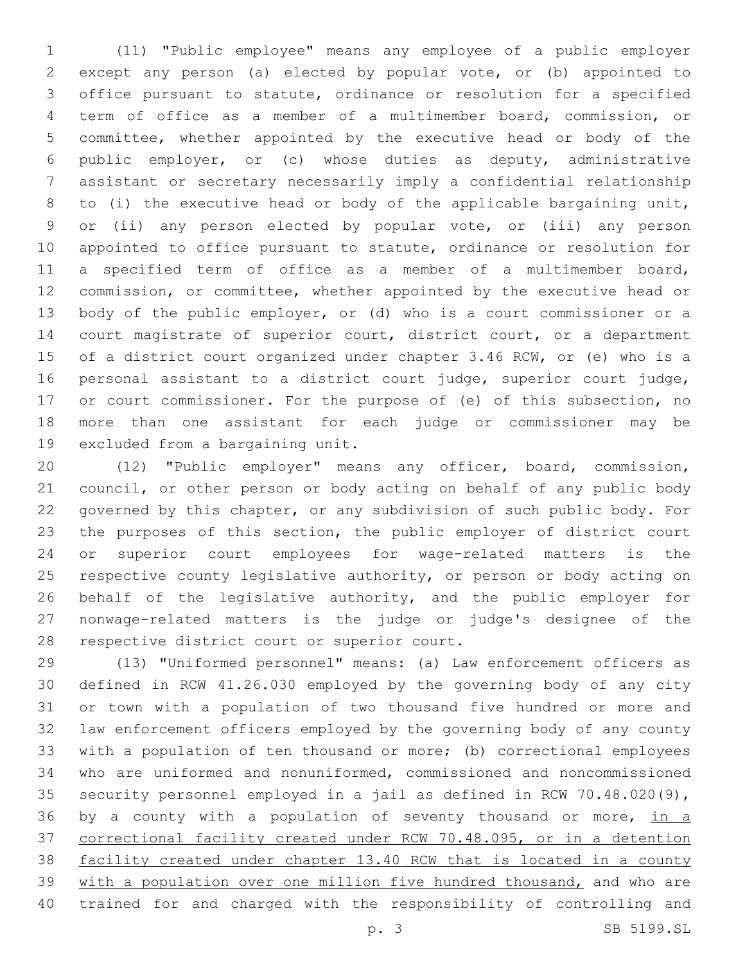(11) "Public employee" means any employee of a public employer except any person (a) elected by popular vote, or (b) appointed to office pursuant to statute, ordinance or resolution for a specified term of office as a member of a multimember board, commission, or committee, whether appointed by the executive head or body of the public employer, or (c) whose duties as deputy, administrative assistant or secretary necessarily imply a confidential relationship to (i) the executive head or body of the applicable bargaining unit, or (ii) any person elected by popular vote, or (iii) any person appointed to office pursuant to statute, ordinance or resolution for a specified term of office as a member of a multimember board, commission, or committee, whether appointed by the executive head or body of the public employer, or (d) who is a court commissioner or a court magistrate of superior court, district court, or a department of a district court organized under chapter 3.46 RCW, or (e) who is a personal assistant to a district court judge, superior court judge, or court commissioner. For the purpose of (e) of this subsection, no more than one assistant for each judge or commissioner may be 19 excluded from a bargaining unit.

 (12) "Public employer" means any officer, board, commission, council, or other person or body acting on behalf of any public body governed by this chapter, or any subdivision of such public body. For the purposes of this section, the public employer of district court or superior court employees for wage-related matters is the respective county legislative authority, or person or body acting on 26 behalf of the legislative authority, and the public employer for nonwage-related matters is the judge or judge's designee of the 28 respective district court or superior court.

 (13) "Uniformed personnel" means: (a) Law enforcement officers as defined in RCW 41.26.030 employed by the governing body of any city or town with a population of two thousand five hundred or more and law enforcement officers employed by the governing body of any county with a population of ten thousand or more; (b) correctional employees who are uniformed and nonuniformed, commissioned and noncommissioned security personnel employed in a jail as defined in RCW 70.48.020(9), 36 by a county with a population of seventy thousand or more, in a correctional facility created under RCW 70.48.095, or in a detention facility created under chapter 13.40 RCW that is located in a county 39 with a population over one million five hundred thousand, and who are trained for and charged with the responsibility of controlling and